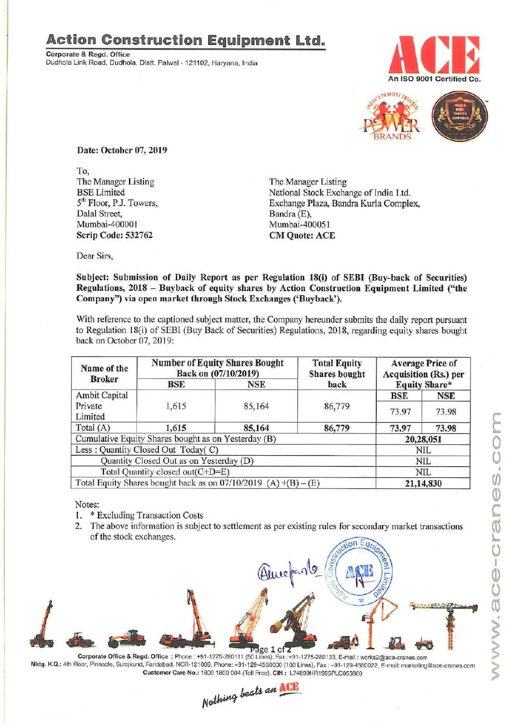Corporate & Regd. Office<br>Dudhola Link Road, Dudhola, Distt. Palwal - 121102, Haryana, India





Date: October 07, 2019

To, The Manager Listing The Manager Listing<br>BSE Limited National Stock Excha Dale] Street, Bandra (E), Bandra (E), Bandra (E), Bandra (E), Bandra (E), Bandra (E), Bandra (E), Bandra (E), Bandra (E), Bandra (E), Bandra (E), Bandra (E), Bandra (E), Bandra (E), Bandra (E), Bandra (E), Bandra (E), Band Scrip Code: 532762 CM Quote: ACE

BSE Limited<br>
5<sup>th</sup> Floor, P.J. Towers, Exchange Plaza, Bandra Kurla Comple 5<sup>th</sup> Floor, P.J. Towers, Exchange Plaza, Bandra Kurla Complex, Dalal Street, Bandra (E), Mumbai-400051

Dear Sirs,

Subject: Submission of Daily Report as per Regulation 18(i) of SEBI (Buy-back of Securities) Regulations, 2018 — Buyback of equity shares by Action Construction Equipment Limited ("the Company") via open market through Stock Exchanges ('Buyback').

With reference to the captioned subject matter, the Company hereunder submits the daily report pursuant to Regulation 18(i) of SEBI (Buy Back of Securities) Regulations, 2018, regarding equity shares bought back on October 07, 2019:

| Name of the                                         |                                         | <b>Number of Equity Shares Bought</b><br>Back on (07/10/2019)     | <b>Total Equity</b><br><b>Shares</b> bought<br>back | <b>Average Price of</b><br>Acquisition (Rs.) per<br>Equity Share* |            |
|-----------------------------------------------------|-----------------------------------------|-------------------------------------------------------------------|-----------------------------------------------------|-------------------------------------------------------------------|------------|
| <b>Broker</b>                                       | <b>BSE</b>                              | <b>NSE</b>                                                        |                                                     |                                                                   |            |
| Ambit Capital                                       |                                         |                                                                   |                                                     | <b>BSE</b>                                                        | <b>NSE</b> |
| Private<br>Limited                                  | 1,615                                   | 85,164                                                            | 86,779                                              | 73.97                                                             | 73.98      |
| Total $(A)$                                         | 1,615                                   | 85,164                                                            | 86,779                                              | 73.97                                                             | 73.98      |
| Cumulative Equity Shares bought as on Yesterday (B) |                                         |                                                                   | 20,28,051                                           |                                                                   |            |
|                                                     | Less: Quantity Closed Out Today(C)      |                                                                   |                                                     |                                                                   | <b>NIL</b> |
|                                                     | Quantity Closed Out as on Yesterday (D) |                                                                   |                                                     |                                                                   | <b>NIL</b> |
|                                                     | Total Quantity closed out(C+D=E)        |                                                                   |                                                     | NIL                                                               |            |
|                                                     |                                         | Total Equity Shares bought back as on $07/10/2019$ (A) +(B) – (E) |                                                     | 21,14,830                                                         |            |

Notes:

- I. \* Excluding Transaction Costs
- 2, The above information is subject to settlement as per existing rules for secondary market transactions of the stock exchanges.



Corporate Office & Regd. Office : Phone : +91-1275-280111 (50 Lines), Fax :+91-1275-280133, E-mail : works2@ace-cranes.com Mktg. H.Q.: 4th Floor, Pinnacle, Surajkund, Faridabad, NCR-121009, Phone: +91-129-4550000 (100 Lines), Fax : +91-129-4550022, E-mail: marketing@ace-cranes.com

Nothing beats an ACE